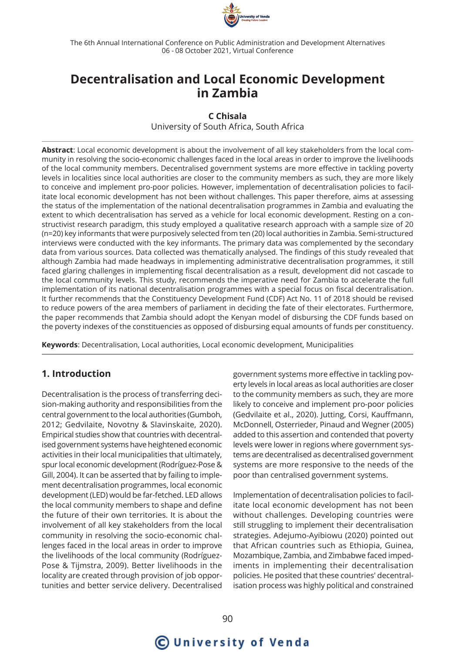

The 6th Annual International Conference on Public Administration and Development Alternatives 06 - 08 October 2021, Virtual Conference

## **Decentralisation and Local Economic Development in Zambia**

#### **C Chisala**

University of South Africa, South Africa

**Abstract**: Local economic development is about the involvement of all key stakeholders from the local community in resolving the socio-economic challenges faced in the local areas in order to improve the livelihoods of the local community members. Decentralised government systems are more effective in tackling poverty levels in localities since local authorities are closer to the community members as such, they are more likely to conceive and implement pro-poor policies. However, implementation of decentralisation policies to facilitate local economic development has not been without challenges. This paper therefore, aims at assessing the status of the implementation of the national decentralisation programmes in Zambia and evaluating the extent to which decentralisation has served as a vehicle for local economic development. Resting on a constructivist research paradigm, this study employed a qualitative research approach with a sample size of 20 (n=20) key informants that were purposively selected from ten (20) local authorities in Zambia. Semi-structured interviews were conducted with the key informants. The primary data was complemented by the secondary data from various sources. Data collected was thematically analysed. The findings of this study revealed that although Zambia had made headways in implementing administrative decentralisation programmes, it still faced glaring challenges in implementing fiscal decentralisation as a result, development did not cascade to the local community levels. This study, recommends the imperative need for Zambia to accelerate the full implementation of its national decentralisation programmes with a special focus on fiscal decentralisation. It further recommends that the Constituency Development Fund (CDF) Act No. 11 of 2018 should be revised to reduce powers of the area members of parliament in deciding the fate of their electorates. Furthermore, the paper recommends that Zambia should adopt the Kenyan model of disbursing the CDF funds based on the poverty indexes of the constituencies as opposed of disbursing equal amounts of funds per constituency.

**Keywords**: Decentralisation, Local authorities, Local economic development, Municipalities

## **1. Introduction**

Decentralisation is the process of transferring decision-making authority and responsibilities from the central government to the local authorities (Gumboh, 2012; Gedvilaite, Novotny & Slavinskaite, 2020). Empirical studies show that countries with decentralised government systems have heightened economic activities in their local municipalities that ultimately, spur local economic development (Rodríguez-Pose & Gill, 2004). It can be asserted that by failing to implement decentralisation programmes, local economic development (LED) would be far-fetched. LED allows the local community members to shape and define the future of their own territories. It is about the involvement of all key stakeholders from the local community in resolving the socio-economic challenges faced in the local areas in order to improve the livelihoods of the local community (Rodríguez-Pose & Tijmstra, 2009). Better livelihoods in the locality are created through provision of job opportunities and better service delivery. Decentralised

government systems more effective in tackling poverty levels in local areas as local authorities are closer to the community members as such, they are more likely to conceive and implement pro-poor policies (Gedvilaite et al., 2020). Jutting, Corsi, Kauffmann, McDonnell, Osterrieder, Pinaud and Wegner (2005) added to this assertion and contended that poverty levels were lower in regions where government systems are decentralised as decentralised government systems are more responsive to the needs of the poor than centralised government systems.

Implementation of decentralisation policies to facilitate local economic development has not been without challenges. Developing countries were still struggling to implement their decentralisation strategies. Adejumo-Ayibiowu (2020) pointed out that African countries such as Ethiopia, Guinea, Mozambique, Zambia, and Zimbabwe faced impediments in implementing their decentralisation policies. He posited that these countries' decentralisation process was highly political and constrained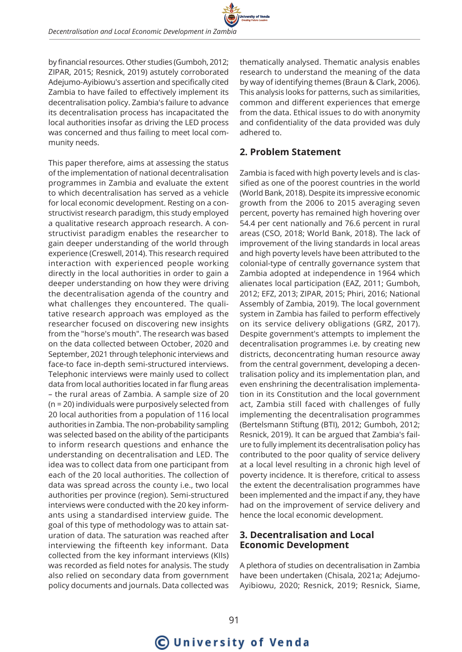by financial resources. Other studies (Gumboh, 2012; ZIPAR, 2015; Resnick, 2019) astutely corroborated Adejumo-Ayibiowu's assertion and specifically cited Zambia to have failed to effectively implement its decentralisation policy. Zambia's failure to advance its decentralisation process has incapacitated the local authorities insofar as driving the LED process was concerned and thus failing to meet local community needs.

This paper therefore, aims at assessing the status of the implementation of national decentralisation programmes in Zambia and evaluate the extent to which decentralisation has served as a vehicle for local economic development. Resting on a constructivist research paradigm, this study employed a qualitative research approach research. A constructivist paradigm enables the researcher to gain deeper understanding of the world through experience (Creswell, 2014). This research required interaction with experienced people working directly in the local authorities in order to gain a deeper understanding on how they were driving the decentralisation agenda of the country and what challenges they encountered. The qualitative research approach was employed as the researcher focused on discovering new insights from the "horse's mouth". The research was based on the data collected between October, 2020 and September, 2021 through telephonic interviews and face-to face in-depth semi-structured interviews. Telephonic interviews were mainly used to collect data from local authorities located in far flung areas – the rural areas of Zambia. A sample size of 20 (n = 20) individuals were purposively selected from 20 local authorities from a population of 116 local authorities in Zambia. The non-probability sampling was selected based on the ability of the participants to inform research questions and enhance the understanding on decentralisation and LED. The idea was to collect data from one participant from each of the 20 local authorities. The collection of data was spread across the county i.e., two local authorities per province (region). Semi-structured interviews were conducted with the 20 key informants using a standardised interview guide. The goal of this type of methodology was to attain saturation of data. The saturation was reached after interviewing the fifteenth key informant. Data collected from the key informant interviews (KIIs) was recorded as field notes for analysis. The study also relied on secondary data from government policy documents and journals. Data collected was

thematically analysed. Thematic analysis enables research to understand the meaning of the data by way of identifying themes (Braun & Clark, 2006). This analysis looks for patterns, such as similarities, common and different experiences that emerge from the data. Ethical issues to do with anonymity and confidentiality of the data provided was duly adhered to.

## **2. Problem Statement**

Zambia is faced with high poverty levels and is classified as one of the poorest countries in the world (World Bank, 2018). Despite its impressive economic growth from the 2006 to 2015 averaging seven percent, poverty has remained high hovering over 54.4 per cent nationally and 76.6 percent in rural areas (CSO, 2018; World Bank, 2018). The lack of improvement of the living standards in local areas and high poverty levels have been attributed to the colonial-type of centrally governance system that Zambia adopted at independence in 1964 which alienates local participation (EAZ, 2011; Gumboh, 2012; EFZ, 2013; ZIPAR, 2015; Phiri, 2016; National Assembly of Zambia, 2019). The local government system in Zambia has failed to perform effectively on its service delivery obligations (GRZ, 2017). Despite government's attempts to implement the decentralisation programmes i.e. by creating new districts, deconcentrating human resource away from the central government, developing a decentralisation policy and its implementation plan, and even enshrining the decentralisation implementation in its Constitution and the local government act, Zambia still faced with challenges of fully implementing the decentralisation programmes (Bertelsmann Stiftung (BTI), 2012; Gumboh, 2012; Resnick, 2019). It can be argued that Zambia's failure to fully implement its decentralisation policy has contributed to the poor quality of service delivery at a local level resulting in a chronic high level of poverty incidence. It is therefore, critical to assess the extent the decentralisation programmes have been implemented and the impact if any, they have had on the improvement of service delivery and hence the local economic development.

## **3. Decentralisation and Local Economic Development**

A plethora of studies on decentralisation in Zambia have been undertaken (Chisala, 2021a; Adejumo-Ayibiowu, 2020; Resnick, 2019; Resnick, Siame,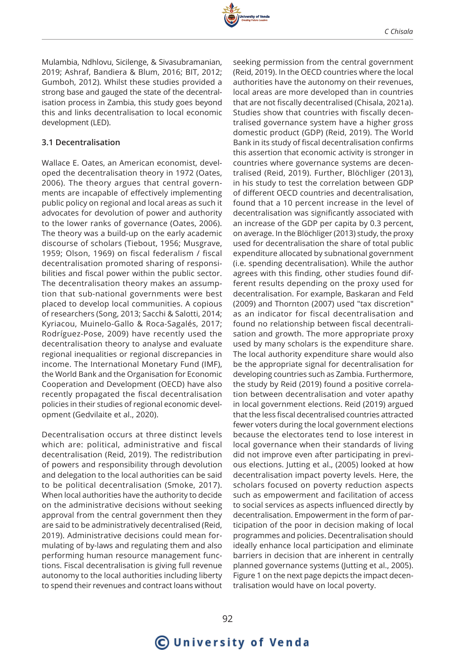

Mulambia, Ndhlovu, Sicilenge, & Sivasubramanian, 2019; Ashraf, Bandiera & Blum, 2016; BIT, 2012; Gumboh, 2012). Whilst these studies provided a strong base and gauged the state of the decentralisation process in Zambia, this study goes beyond this and links decentralisation to local economic development (LED).

#### **3.1 Decentralisation**

Wallace E. Oates, an American economist, developed the decentralisation theory in 1972 (Oates, 2006). The theory argues that central governments are incapable of effectively implementing public policy on regional and local areas as such it advocates for devolution of power and authority to the lower ranks of governance (Oates, 2006). The theory was a build-up on the early academic discourse of scholars (Tiebout, 1956; Musgrave, 1959; Olson, 1969) on fiscal federalism / fiscal decentralisation promoted sharing of responsibilities and fiscal power within the public sector. The decentralisation theory makes an assumption that sub-national governments were best placed to develop local communities. A copious of researchers (Song, 2013; Sacchi & Salotti, 2014; Kyriacou, Muinelo-Gallo & Roca-Sagalés, 2017; Rodríguez-Pose, 2009) have recently used the decentralisation theory to analyse and evaluate regional inequalities or regional discrepancies in income. The International Monetary Fund (IMF), the World Bank and the Organisation for Economic Cooperation and Development (OECD) have also recently propagated the fiscal decentralisation policies in their studies of regional economic development (Gedvilaite et al., 2020).

Decentralisation occurs at three distinct levels which are: political, administrative and fiscal decentralisation (Reid, 2019). The redistribution of powers and responsibility through devolution and delegation to the local authorities can be said to be political decentralisation (Smoke, 2017). When local authorities have the authority to decide on the administrative decisions without seeking approval from the central government then they are said to be administratively decentralised (Reid, 2019). Administrative decisions could mean formulating of by-laws and regulating them and also performing human resource management functions. Fiscal decentralisation is giving full revenue autonomy to the local authorities including liberty to spend their revenues and contract loans without

seeking permission from the central government (Reid, 2019). In the OECD countries where the local authorities have the autonomy on their revenues, local areas are more developed than in countries that are not fiscally decentralised (Chisala, 2021a). Studies show that countries with fiscally decentralised governance system have a higher gross domestic product (GDP) (Reid, 2019). The World Bank in its study of fiscal decentralisation confirms this assertion that economic activity is stronger in countries where governance systems are decentralised (Reid, 2019). Further, Blöchliger (2013), in his study to test the correlation between GDP of different OECD countries and decentralisation, found that a 10 percent increase in the level of decentralisation was significantly associated with an increase of the GDP per capita by 0.3 percent, on average. In the Blöchliger (2013) study, the proxy used for decentralisation the share of total public expenditure allocated by subnational government (i.e. spending decentralisation). While the author agrees with this finding, other studies found different results depending on the proxy used for decentralisation. For example, Baskaran and Feld (2009) and Thornton (2007) used "tax discretion" as an indicator for fiscal decentralisation and found no relationship between fiscal decentralisation and growth. The more appropriate proxy used by many scholars is the expenditure share. The local authority expenditure share would also be the appropriate signal for decentralisation for developing countries such as Zambia. Furthermore, the study by Reid (2019) found a positive correlation between decentralisation and voter apathy in local government elections. Reid (2019) argued that the less fiscal decentralised countries attracted fewer voters during the local government elections because the electorates tend to lose interest in local governance when their standards of living did not improve even after participating in previous elections. Jutting et al., (2005) looked at how decentralisation impact poverty levels. Here, the scholars focused on poverty reduction aspects such as empowerment and facilitation of access to social services as aspects influenced directly by decentralisation. Empowerment in the form of participation of the poor in decision making of local programmes and policies. Decentralisation should ideally enhance local participation and eliminate barriers in decision that are inherent in centrally planned governance systems (Jutting et al., 2005). Figure 1 on the next page depicts the impact decentralisation would have on local poverty.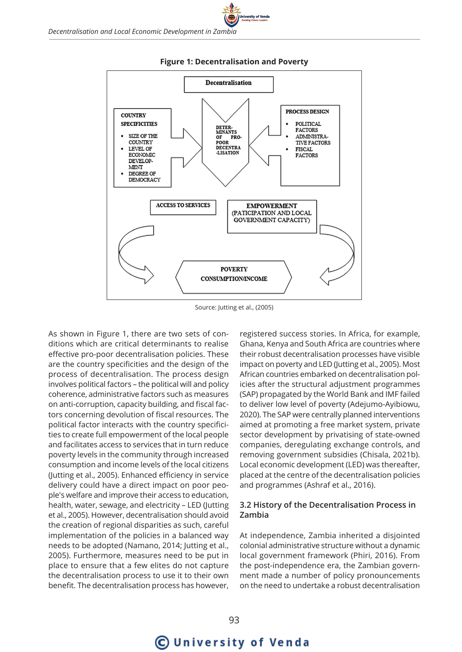

#### **Figure 1: Decentralisation and Poverty**

versity of Venda

Source: Jutting et al., (2005)

As shown in Figure 1, there are two sets of conditions which are critical determinants to realise effective pro-poor decentralisation policies. These are the country specificities and the design of the process of decentralisation. The process design involves political factors – the political will and policy coherence, administrative factors such as measures on anti-corruption, capacity building, and fiscal factors concerning devolution of fiscal resources. The political factor interacts with the country specificities to create full empowerment of the local people and facilitates access to services that in turn reduce poverty levels in the community through increased consumption and income levels of the local citizens (Jutting et al., 2005). Enhanced efficiency in service delivery could have a direct impact on poor people's welfare and improve their access to education, health, water, sewage, and electricity – LED (Jutting et al., 2005). However, decentralisation should avoid the creation of regional disparities as such, careful implementation of the policies in a balanced way needs to be adopted (Namano, 2014; Jutting et al., 2005). Furthermore, measures need to be put in place to ensure that a few elites do not capture the decentralisation process to use it to their own benefit. The decentralisation process has however,

registered success stories. In Africa, for example, Ghana, Kenya and South Africa are countries where their robust decentralisation processes have visible impact on poverty and LED (Jutting et al., 2005). Most African countries embarked on decentralisation policies after the structural adjustment programmes (SAP) propagated by the World Bank and IMF failed to deliver low level of poverty (Adejumo-Ayibiowu, 2020). The SAP were centrally planned interventions aimed at promoting a free market system, private sector development by privatising of state-owned companies, deregulating exchange controls, and removing government subsidies (Chisala, 2021b). Local economic development (LED) was thereafter, placed at the centre of the decentralisation policies and programmes (Ashraf et al., 2016).

## **3.2 History of the Decentralisation Process in Zambia**

At independence, Zambia inherited a disjointed colonial administrative structure without a dynamic local government framework (Phiri, 2016). From the post-independence era, the Zambian government made a number of policy pronouncements on the need to undertake a robust decentralisation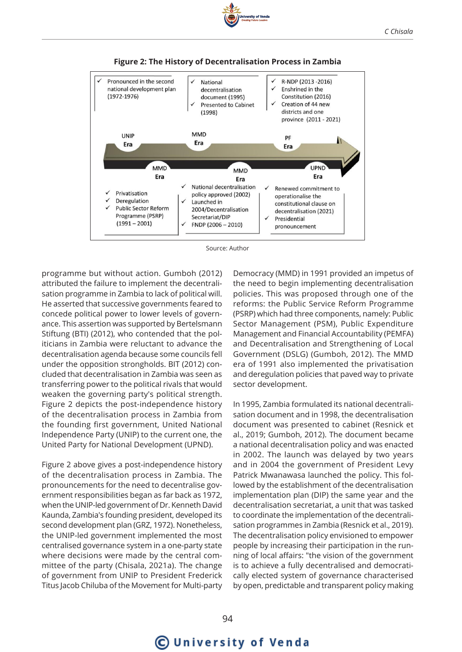





Source: Author

programme but without action. Gumboh (2012) attributed the failure to implement the decentralisation programme in Zambia to lack of political will. He asserted that successive governments feared to concede political power to lower levels of governance. This assertion was supported by Bertelsmann Stiftung (BTI) (2012), who contended that the politicians in Zambia were reluctant to advance the decentralisation agenda because some councils fell under the opposition strongholds. BIT (2012) concluded that decentralisation in Zambia was seen as transferring power to the political rivals that would weaken the governing party's political strength. Figure 2 depicts the post-independence history of the decentralisation process in Zambia from the founding first government, United National Independence Party (UNIP) to the current one, the United Party for National Development (UPND).

Figure 2 above gives a post-independence history of the decentralisation process in Zambia. The pronouncements for the need to decentralise government responsibilities began as far back as 1972, when the UNIP-led government of Dr. Kenneth David Kaunda, Zambia's founding president, developed its second development plan (GRZ, 1972). Nonetheless, the UNIP-led government implemented the most centralised governance system in a one-party state where decisions were made by the central committee of the party (Chisala, 2021a). The change of government from UNIP to President Frederick Titus Jacob Chiluba of the Movement for Multi-party

Democracy (MMD) in 1991 provided an impetus of the need to begin implementing decentralisation policies. This was proposed through one of the reforms: the Public Service Reform Programme (PSRP) which had three components, namely: Public Sector Management (PSM), Public Expenditure Management and Financial Accountability (PEMFA) and Decentralisation and Strengthening of Local Government (DSLG) (Gumboh, 2012). The MMD era of 1991 also implemented the privatisation and deregulation policies that paved way to private sector development.

In 1995, Zambia formulated its national decentralisation document and in 1998, the decentralisation document was presented to cabinet (Resnick et al., 2019; Gumboh, 2012). The document became a national decentralisation policy and was enacted in 2002. The launch was delayed by two years and in 2004 the government of President Levy Patrick Mwanawasa launched the policy. This followed by the establishment of the decentralisation implementation plan (DIP) the same year and the decentralisation secretariat, a unit that was tasked to coordinate the implementation of the decentralisation programmes in Zambia (Resnick et al., 2019). The decentralisation policy envisioned to empower people by increasing their participation in the running of local affairs: "the vision of the government is to achieve a fully decentralised and democratically elected system of governance characterised by open, predictable and transparent policy making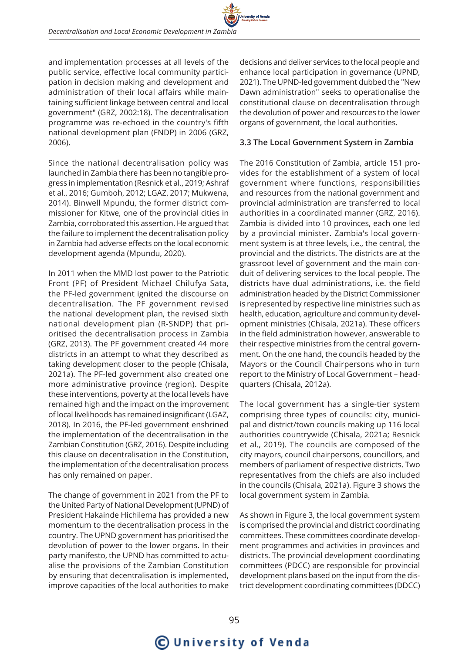and implementation processes at all levels of the public service, effective local community participation in decision making and development and administration of their local affairs while maintaining sufficient linkage between central and local government" (GRZ, 2002:18). The decentralisation programme was re-echoed in the country's fifth national development plan (FNDP) in 2006 (GRZ, 2006).

Since the national decentralisation policy was launched in Zambia there has been no tangible progress in implementation (Resnick et al., 2019; Ashraf et al., 2016; Gumboh, 2012; LGAZ, 2017; Mukwena, 2014). Binwell Mpundu, the former district commissioner for Kitwe, one of the provincial cities in Zambia, corroborated this assertion. He argued that the failure to implement the decentralisation policy in Zambia had adverse effects on the local economic development agenda (Mpundu, 2020).

In 2011 when the MMD lost power to the Patriotic Front (PF) of President Michael Chilufya Sata, the PF-led government ignited the discourse on decentralisation. The PF government revised the national development plan, the revised sixth national development plan (R-SNDP) that prioritised the decentralisation process in Zambia (GRZ, 2013). The PF government created 44 more districts in an attempt to what they described as taking development closer to the people (Chisala, 2021a). The PF-led government also created one more administrative province (region). Despite these interventions, poverty at the local levels have remained high and the impact on the improvement of local livelihoods has remained insignificant (LGAZ, 2018). In 2016, the PF-led government enshrined the implementation of the decentralisation in the Zambian Constitution (GRZ, 2016). Despite including this clause on decentralisation in the Constitution, the implementation of the decentralisation process has only remained on paper.

The change of government in 2021 from the PF to the United Party of National Development (UPND) of President Hakainde Hichilema has provided a new momentum to the decentralisation process in the country. The UPND government has prioritised the devolution of power to the lower organs. In their party manifesto, the UPND has committed to actualise the provisions of the Zambian Constitution by ensuring that decentralisation is implemented, improve capacities of the local authorities to make

decisions and deliver services to the local people and enhance local participation in governance (UPND, 2021). The UPND-led government dubbed the "New Dawn administration" seeks to operationalise the constitutional clause on decentralisation through the devolution of power and resources to the lower organs of government, the local authorities.

### **3.3 The Local Government System in Zambia**

The 2016 Constitution of Zambia, article 151 provides for the establishment of a system of local government where functions, responsibilities and resources from the national government and provincial administration are transferred to local authorities in a coordinated manner (GRZ, 2016). Zambia is divided into 10 provinces, each one led by a provincial minister. Zambia's local government system is at three levels, i.e., the central, the provincial and the districts. The districts are at the grassroot level of government and the main conduit of delivering services to the local people. The districts have dual administrations, i.e. the field administration headed by the District Commissioner is represented by respective line ministries such as health, education, agriculture and community development ministries (Chisala, 2021a). These officers in the field administration however, answerable to their respective ministries from the central government. On the one hand, the councils headed by the Mayors or the Council Chairpersons who in turn report to the Ministry of Local Government – headquarters (Chisala, 2012a).

The local government has a single-tier system comprising three types of councils: city, municipal and district/town councils making up 116 local authorities countrywide (Chisala, 2021a; Resnick et al., 2019). The councils are composed of the city mayors, council chairpersons, councillors, and members of parliament of respective districts. Two representatives from the chiefs are also included in the councils (Chisala, 2021a). Figure 3 shows the local government system in Zambia.

As shown in Figure 3, the local government system is comprised the provincial and district coordinating committees. These committees coordinate development programmes and activities in provinces and districts. The provincial development coordinating committees (PDCC) are responsible for provincial development plans based on the input from the district development coordinating committees (DDCC)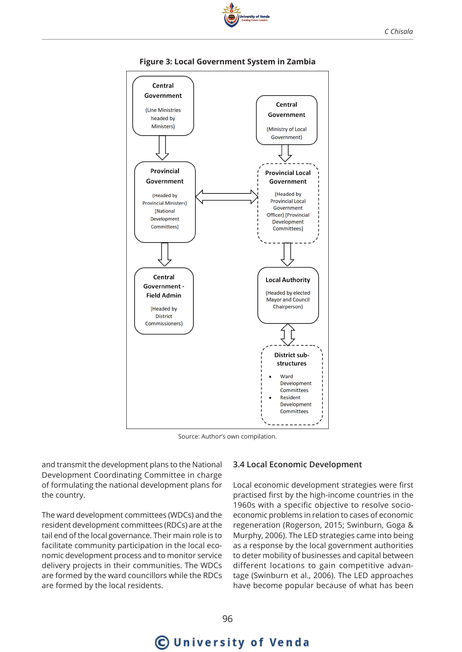

## **Figure 3: Local Government System in Zambia**

Source: Author's own compilation.

and transmit the development plans to the National Development Coordinating Committee in charge of formulating the national development plans for the country.

The ward development committees (WDCs) and the resident development committees (RDCs) are at the tail end of the local governance. Their main role is to facilitate community participation in the local economic development process and to monitor service delivery projects in their communities. The WDCs are formed by the ward councillors while the RDCs are formed by the local residents.

## **3.4 Local Economic Development**

Local economic development strategies were first practised first by the high-income countries in the 1960s with a specific objective to resolve socioeconomic problems in relation to cases of economic regeneration (Rogerson, 2015; Swinburn, Goga & Murphy, 2006). The LED strategies came into being as a response by the local government authorities to deter mobility of businesses and capital between different locations to gain competitive advantage (Swinburn et al., 2006). The LED approaches have become popular because of what has been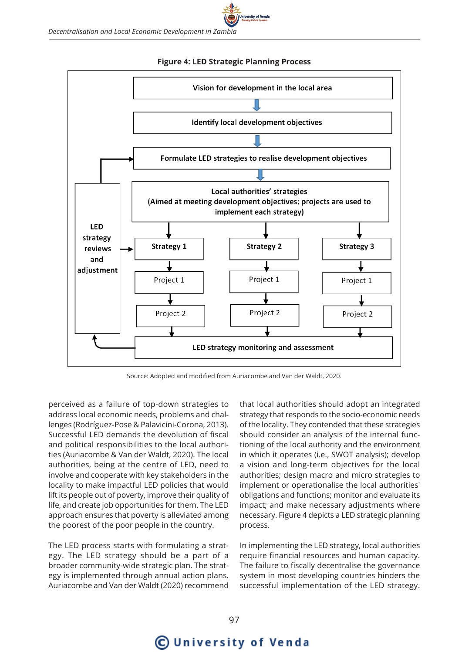





Source: Adopted and modified from Auriacombe and Van der Waldt, 2020.

perceived as a failure of top-down strategies to address local economic needs, problems and challenges (Rodríguez-Pose & Palavicini-Corona, 2013). Successful LED demands the devolution of fiscal and political responsibilities to the local authorities (Auriacombe & Van der Waldt, 2020). The local authorities, being at the centre of LED, need to involve and cooperate with key stakeholders in the locality to make impactful LED policies that would lift its people out of poverty, improve their quality of life, and create job opportunities for them. The LED approach ensures that poverty is alleviated among the poorest of the poor people in the country.

The LED process starts with formulating a strategy. The LED strategy should be a part of a broader community-wide strategic plan. The strategy is implemented through annual action plans. Auriacombe and Van der Waldt (2020) recommend that local authorities should adopt an integrated strategy that responds to the socio-economic needs of the locality. They contended that these strategies should consider an analysis of the internal functioning of the local authority and the environment in which it operates (i.e., SWOT analysis); develop a vision and long-term objectives for the local authorities; design macro and micro strategies to implement or operationalise the local authorities' obligations and functions; monitor and evaluate its impact; and make necessary adjustments where necessary. Figure 4 depicts a LED strategic planning process.

In implementing the LED strategy, local authorities require financial resources and human capacity. The failure to fiscally decentralise the governance system in most developing countries hinders the successful implementation of the LED strategy.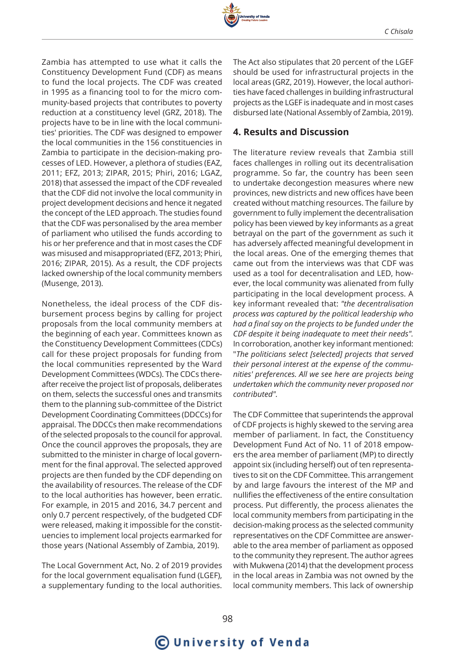

Zambia has attempted to use what it calls the Constituency Development Fund (CDF) as means to fund the local projects. The CDF was created in 1995 as a financing tool to for the micro community-based projects that contributes to poverty reduction at a constituency level (GRZ, 2018). The projects have to be in line with the local communities' priorities. The CDF was designed to empower the local communities in the 156 constituencies in Zambia to participate in the decision-making processes of LED. However, a plethora of studies (EAZ, 2011; EFZ, 2013; ZIPAR, 2015; Phiri, 2016; LGAZ, 2018) that assessed the impact of the CDF revealed that the CDF did not involve the local community in project development decisions and hence it negated the concept of the LED approach. The studies found that the CDF was personalised by the area member of parliament who utilised the funds according to his or her preference and that in most cases the CDF was misused and misappropriated (EFZ, 2013; Phiri, 2016; ZIPAR, 2015). As a result, the CDF projects lacked ownership of the local community members (Musenge, 2013).

Nonetheless, the ideal process of the CDF disbursement process begins by calling for project proposals from the local community members at the beginning of each year. Committees known as the Constituency Development Committees (CDCs) call for these project proposals for funding from the local communities represented by the Ward Development Committees (WDCs). The CDCs thereafter receive the project list of proposals, deliberates on them, selects the successful ones and transmits them to the planning sub-committee of the District Development Coordinating Committees (DDCCs) for appraisal. The DDCCs then make recommendations of the selected proposals to the council for approval. Once the council approves the proposals, they are submitted to the minister in charge of local government for the final approval. The selected approved projects are then funded by the CDF depending on the availability of resources. The release of the CDF to the local authorities has however, been erratic. For example, in 2015 and 2016, 34.7 percent and only 0.7 percent respectively, of the budgeted CDF were released, making it impossible for the constituencies to implement local projects earmarked for those years (National Assembly of Zambia, 2019).

The Local Government Act, No. 2 of 2019 provides for the local government equalisation fund (LGEF), a supplementary funding to the local authorities.

The Act also stipulates that 20 percent of the LGEF should be used for infrastructural projects in the local areas (GRZ, 2019). However, the local authorities have faced challenges in building infrastructural projects as the LGEF is inadequate and in most cases disbursed late (National Assembly of Zambia, 2019).

#### **4. Results and Discussion**

The literature review reveals that Zambia still faces challenges in rolling out its decentralisation programme. So far, the country has been seen to undertake decongestion measures where new provinces, new districts and new offices have been created without matching resources. The failure by government to fully implement the decentralisation policy has been viewed by key informants as a great betrayal on the part of the government as such it has adversely affected meaningful development in the local areas. One of the emerging themes that came out from the interviews was that CDF was used as a tool for decentralisation and LED, however, the local community was alienated from fully participating in the local development process. A key informant revealed that: *"the decentralisation process was captured by the political leadership who had a final say on the projects to be funded under the CDF despite it being inadequate to meet their needs".* In corroboration, another key informant mentioned: "*The politicians select [selected] projects that served their personal interest at the expense of the communities' preferences. All we see here are projects being undertaken which the community never proposed nor contributed".*

The CDF Committee that superintends the approval of CDF projects is highly skewed to the serving area member of parliament. In fact, the Constituency Development Fund Act of No. 11 of 2018 empowers the area member of parliament (MP) to directly appoint six (including herself) out of ten representatives to sit on the CDF Committee. This arrangement by and large favours the interest of the MP and nullifies the effectiveness of the entire consultation process. Put differently, the process alienates the local community members from participating in the decision-making process as the selected community representatives on the CDF Committee are answerable to the area member of parliament as opposed to the community they represent. The author agrees with Mukwena (2014) that the development process in the local areas in Zambia was not owned by the local community members. This lack of ownership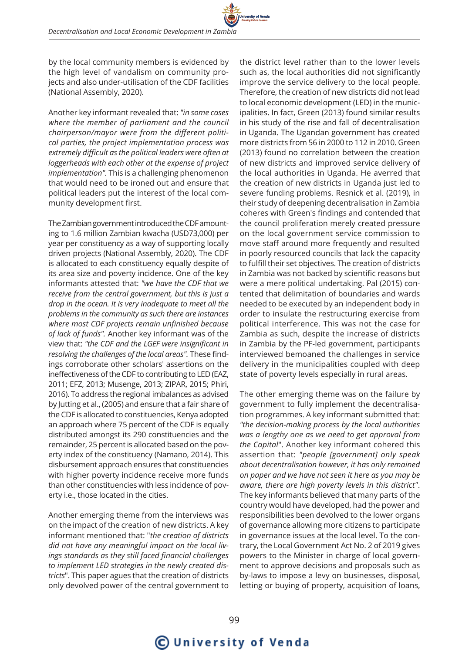by the local community members is evidenced by the high level of vandalism on community projects and also under-utilisation of the CDF facilities (National Assembly, 2020).

Another key informant revealed that: *"in some cases where the member of parliament and the council chairperson/mayor were from the different political parties, the project implementation process was extremely difficult as the political leaders were often at loggerheads with each other at the expense of project implementation".* This is a challenging phenomenon that would need to be ironed out and ensure that political leaders put the interest of the local community development first.

The Zambian government introduced the CDF amounting to 1.6 million Zambian kwacha (USD73,000) per year per constituency as a way of supporting locally driven projects (National Assembly, 2020). The CDF is allocated to each constituency equally despite of its area size and poverty incidence. One of the key informants attested that: *"we have the CDF that we receive from the central government, but this is just a drop in the ocean. It is very inadequate to meet all the problems in the community as such there are instances where most CDF projects remain unfinished because of lack of funds".* Another key informant was of the view that: *"the CDF and the LGEF were insignificant in resolving the challenges of the local areas".* These findings corroborate other scholars' assertions on the ineffectiveness of the CDF to contributing to LED (EAZ, 2011; EFZ, 2013; Musenge, 2013; ZIPAR, 2015; Phiri, 2016). To address the regional imbalances as advised by Jutting et al., (2005) and ensure that a fair share of the CDF is allocated to constituencies, Kenya adopted an approach where 75 percent of the CDF is equally distributed amongst its 290 constituencies and the remainder, 25 percent is allocated based on the poverty index of the constituency (Namano, 2014). This disbursement approach ensures that constituencies with higher poverty incidence receive more funds than other constituencies with less incidence of poverty i.e., those located in the cities.

Another emerging theme from the interviews was on the impact of the creation of new districts. A key informant mentioned that: "*the creation of districts did not have any meaningful impact on the local livings standards as they still faced financial challenges to implement LED strategies in the newly created districts*". This paper agues that the creation of districts only devolved power of the central government to

the district level rather than to the lower levels such as, the local authorities did not significantly improve the service delivery to the local people. Therefore, the creation of new districts did not lead to local economic development (LED) in the municipalities. In fact, Green (2013) found similar results in his study of the rise and fall of decentralisation in Uganda. The Ugandan government has created more districts from 56 in 2000 to 112 in 2010. Green (2013) found no correlation between the creation of new districts and improved service delivery of the local authorities in Uganda. He averred that the creation of new districts in Uganda just led to severe funding problems. Resnick et al. (2019), in their study of deepening decentralisation in Zambia coheres with Green's findings and contended that the council proliferation merely created pressure on the local government service commission to move staff around more frequently and resulted in poorly resourced councils that lack the capacity to fulfill their set objectives. The creation of districts in Zambia was not backed by scientific reasons but were a mere political undertaking. Pal (2015) contented that delimitation of boundaries and wards needed to be executed by an independent body in order to insulate the restructuring exercise from political interference. This was not the case for Zambia as such, despite the increase of districts in Zambia by the PF-led government, participants interviewed bemoaned the challenges in service delivery in the municipalities coupled with deep state of poverty levels especially in rural areas.

The other emerging theme was on the failure by government to fully implement the decentralisation programmes. A key informant submitted that: *"the decision-making process by the local authorities was a lengthy one as we need to get approval from the Capital*". Another key informant cohered this assertion that: *"people [government] only speak about decentralisation however, it has only remained on paper and we have not seen it here as you may be aware, there are high poverty levels in this district"*. The key informants believed that many parts of the country would have developed, had the power and responsibilities been devolved to the lower organs of governance allowing more citizens to participate in governance issues at the local level. To the contrary, the Local Government Act No. 2 of 2019 gives powers to the Minister in charge of local government to approve decisions and proposals such as by-laws to impose a levy on businesses, disposal, letting or buying of property, acquisition of loans,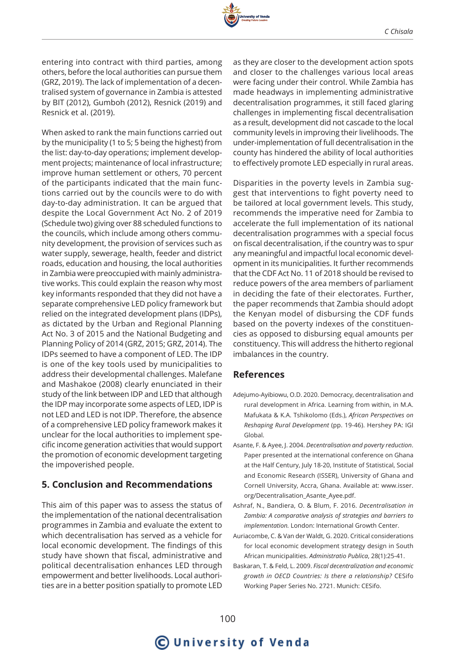

entering into contract with third parties, among others, before the local authorities can pursue them (GRZ, 2019). The lack of implementation of a decentralised system of governance in Zambia is attested by BIT (2012), Gumboh (2012), Resnick (2019) and Resnick et al. (2019).

When asked to rank the main functions carried out by the municipality (1 to 5; 5 being the highest) from the list: day-to-day operations; implement development projects; maintenance of local infrastructure; improve human settlement or others, 70 percent of the participants indicated that the main functions carried out by the councils were to do with day-to-day administration. It can be argued that despite the Local Government Act No. 2 of 2019 (Schedule two) giving over 88 scheduled functions to the councils, which include among others community development, the provision of services such as water supply, sewerage, health, feeder and district roads, education and housing, the local authorities in Zambia were preoccupied with mainly administrative works. This could explain the reason why most key informants responded that they did not have a separate comprehensive LED policy framework but relied on the integrated development plans (IDPs), as dictated by the Urban and Regional Planning Act No. 3 of 2015 and the National Budgeting and Planning Policy of 2014 (GRZ, 2015; GRZ, 2014). The IDPs seemed to have a component of LED. The IDP is one of the key tools used by municipalities to address their developmental challenges. Malefane and Mashakoe (2008) clearly enunciated in their study of the link between IDP and LED that although the IDP may incorporate some aspects of LED, IDP is not LED and LED is not IDP. Therefore, the absence of a comprehensive LED policy framework makes it unclear for the local authorities to implement specific income generation activities that would support the promotion of economic development targeting the impoverished people.

## **5. Conclusion and Recommendations**

This aim of this paper was to assess the status of the implementation of the national decentralisation programmes in Zambia and evaluate the extent to which decentralisation has served as a vehicle for local economic development. The findings of this study have shown that fiscal, administrative and political decentralisation enhances LED through empowerment and better livelihoods. Local authorities are in a better position spatially to promote LED

as they are closer to the development action spots and closer to the challenges various local areas were facing under their control. While Zambia has made headways in implementing administrative decentralisation programmes, it still faced glaring challenges in implementing fiscal decentralisation as a result, development did not cascade to the local community levels in improving their livelihoods. The under-implementation of full decentralisation in the county has hindered the ability of local authorities to effectively promote LED especially in rural areas.

Disparities in the poverty levels in Zambia suggest that interventions to fight poverty need to be tailored at local government levels. This study, recommends the imperative need for Zambia to accelerate the full implementation of its national decentralisation programmes with a special focus on fiscal decentralisation, if the country was to spur any meaningful and impactful local economic development in its municipalities. It further recommends that the CDF Act No. 11 of 2018 should be revised to reduce powers of the area members of parliament in deciding the fate of their electorates. Further, the paper recommends that Zambia should adopt the Kenyan model of disbursing the CDF funds based on the poverty indexes of the constituencies as opposed to disbursing equal amounts per constituency. This will address the hitherto regional imbalances in the country.

#### **References**

- Adejumo-Ayibiowu, O.D. 2020. Democracy, decentralisation and rural development in Africa. Learning from within, in M.A. Mafukata & K.A. Tshikolomo (Eds.), *African Perspectives on Reshaping Rural Development* (pp. 19-46). Hershey PA: IGI Global.
- Asante, F. & Ayee, J. 2004. *Decentralisation and poverty reduction*. Paper presented at the international conference on Ghana at the Half Century, July 18-20, Institute of Statistical, Social and Economic Research (ISSER), University of Ghana and Cornell University, Accra, Ghana. Available at: www.isser. org/Decentralisation\_Asante\_Ayee.pdf.
- Ashraf, N., Bandiera, O. & Blum, F. 2016. *Decentralisation in Zambia: A comparative analysis of strategies and barriers to implementation.* London: International Growth Center.
- Auriacombe, C. & Van der Waldt, G. 2020. Critical considerations for local economic development strategy design in South African municipalities. *Administratio Publica*, 28(1):25-41.
- Baskaran, T. & Feld, L. 2009. *Fiscal decentralization and economic growth in OECD Countries: Is there a relationship?* CESifo Working Paper Series No. 2721. Munich: CESifo.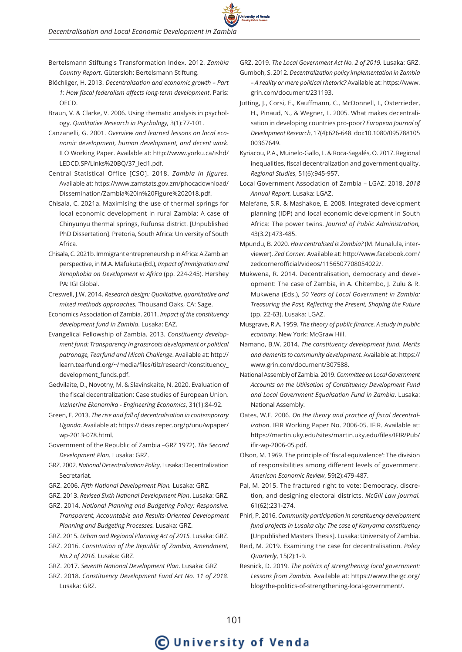- Bertelsmann Stiftung's Transformation Index. 2012. *Zambia Country Report*. Gütersloh: Bertelsmann Stiftung.
- Blöchliger, H. 2013. *Decentralisation and economic growth Part 1: How fiscal federalism affects long-term development*. Paris: OECD.
- Braun, V. & Clarke, V. 2006. Using thematic analysis in psychology. *Qualitative Research in Psychology,* 3(1):77-101.
- Canzanelli, G. 2001. *Overview and learned lessons on local economic development, human development, and decent work*. ILO Working Paper. Available at: http://www.yorku.ca/ishd/ LEDCD.SP/Links%20BQ/37\_led1.pdf.
- Central Statistical Office [CSO]. 2018. *Zambia in figures*. Available at: https://www.zamstats.gov.zm/phocadownload/ Dissemination/Zambia%20in%20Figure%202018.pdf.
- Chisala, C. 2021a. Maximising the use of thermal springs for local economic development in rural Zambia: A case of Chinyunyu thermal springs, Rufunsa district. [Unpublished PhD Dissertation]. Pretoria, South Africa: University of South Africa.
- Chisala, C. 2021b. Immigrant entrepreneurship in Africa: A Zambian perspective, in M.A. Mafukuta (Ed.), *Impact of Immigration and Xenophobia on Development in Africa* (pp. 224-245). Hershey PA: IGI Global.
- Creswell, J.W. 2014. *Research design: Qualitative, quantitative and mixed methods approaches.* Thousand Oaks, CA: Sage.
- Economics Association of Zambia. 2011. *Impact of the constituency development fund in Zambia*. Lusaka: EAZ.
- Evangelical Fellowship of Zambia. 2013. *Constituency development fund: Transparency in grassroots development or political patronage, Tearfund and Micah Challenge*. Available at: http:// learn.tearfund.org/~/media/files/tilz/research/constituency\_ development\_funds.pdf.
- Gedvilaite, D., Novotny, M. & Slavinskaite, N. 2020. Evaluation of the fiscal decentralization: Case studies of European Union. *Inzinerine Ekonomika - Engineering Economics*, 31(1):84-92.
- Green, E. 2013. *The rise and fall of decentralisation in contemporary Uganda.* Available at: https://ideas.repec.org/p/unu/wpaper/ wp-2013-078.html.
- Government of the Republic of Zambia –GRZ 1972). *The Second Development Plan.* Lusaka: GRZ.
- GRZ. 2002. *National Decentralization Policy*. Lusaka: Decentralization Secretariat.
- GRZ. 2006. *Fifth National Development Plan.* Lusaka: GRZ.

GRZ. 2013. *Revised Sixth National Development Plan*. Lusaka: GRZ.

- GRZ. 2014. *National Planning and Budgeting Policy: Responsive, Transparent, Accountable and Results-Oriented Development Planning and Budgeting Processes.* Lusaka: GRZ.
- GRZ. 2015. *Urban and Regional Planning Act of 2015.* Lusaka: GRZ.
- GRZ. 2016. *Constitution of the Republic of Zambia, Amendment, No.2 of 2016.* Lusaka: GRZ.

GRZ. 2017. *Seventh National Development Plan*. Lusaka: GRZ

GRZ. 2018. *Constituency Development Fund Act No. 11 of 2018*. Lusaka: GRZ.

- GRZ. 2019. *The Local Government Act No. 2 of 2019.* Lusaka: GRZ. Gumboh, S. 2012. *Decentralization policy implementation in Zambia – A reality or mere political rhetoric?* Available at: https://www. grin.com/document/231193.
- Jutting, J., Corsi, E., Kauffmann, C., McDonnell, I., Osterrieder, H., Pinaud, N., & Wegner, L. 2005. What makes decentralisation in developing countries pro-poor? *European Journal of Development Research*, 17(4):626-648. doi:10.1080/095788105 00367649.
- Kyriacou, P.A., Muinelo-Gallo, L. & Roca-Sagalés, O. 2017. Regional inequalities, fiscal decentralization and government quality. *Regional Studies*, 51(6):945-957.
- Local Government Association of Zambia LGAZ. 2018. *2018 Annual Report.* Lusaka: LGAZ.
- Malefane, S.R. & Mashakoe, E. 2008. Integrated development planning (IDP) and local economic development in South Africa: The power twins. *Journal of Public Administration,* 43(3.2):473-485.
- Mpundu, B. 2020. *How centralised is Zambia?* (M. Munalula, interviewer). *Zed Corner.* Available at: http://www.facebook.com/ zedcornerofficial/videos/1156507708054022/.
- Mukwena, R. 2014. Decentralisation, democracy and development: The case of Zambia, in A. Chitembo, J. Zulu & R. Mukwena (Eds.), *50 Years of Local Government in Zambia: Treasuring the Past, Reflecting the Present, Shaping the Future* (pp. 22-63). Lusaka: LGAZ.
- Musgrave, R.A. 1959. *The theory of public finance. A study in public economy*. New York: McGraw Hill.
- Namano, B.W. 2014. *The constituency development fund. Merits and demerits to community development.* Available at: https:// www.grin.com/document/307588.
- National Assembly of Zambia. 2019. *Committee on Local Government Accounts on the Utilisation of Constituency Development Fund and Local Government Equalisation Fund in Zambia*. Lusaka: National Assembly.
- Oates, W.E. 2006. *On the theory and practice of fiscal decentralization*. IFIR Working Paper No. 2006-05. IFIR. Available at: https://martin.uky.edu/sites/martin.uky.edu/files/IFIR/Pub/ ifir-wp-2006-05.pdf.
- Olson, M. 1969. The principle of 'fiscal equivalence': The division of responsibilities among different levels of government. *American Economic Review*, 59(2):479-487.
- Pal, M. 2015. The fractured right to vote: Democracy, discretion, and designing electoral districts. *McGill Law Journal.*  61(62):231-274.

Phiri, P. 2016. *Community participation in constituency development fund projects in Lusaka city: The case of Kanyama constituency* [Unpublished Masters Thesis]. Lusaka: University of Zambia.

- Reid, M. 2019. Examining the case for decentralisation. *Policy Quarterly*, 15(2):1-9.
- Resnick, D. 2019. *The politics of strengthening local government: Lessons from Zambia.* Available at: https://www.theigc.org/ blog/the-politics-of-strengthening-local-government/.